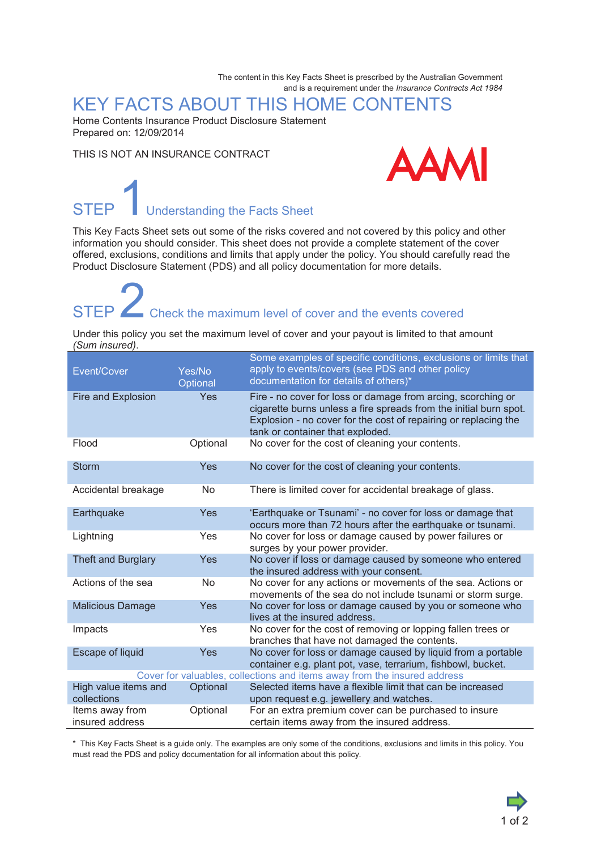The content in this Key Facts Sheet is prescribed by the Australian Government and is a requirement under the *Insurance Contracts Act 1984*

### KEY FACTS ABOUT THIS HOME CONTENTS

Home Contents Insurance Product Disclosure Statement Prepared on: 12/09/2014

THIS IS NOT AN INSURANCE CONTRACT



## **STEP** Understanding the Facts Sheet

This Key Facts Sheet sets out some of the risks covered and not covered by this policy and other information you should consider. This sheet does not provide a complete statement of the cover offered, exclusions, conditions and limits that apply under the policy. You should carefully read the Product Disclosure Statement (PDS) and all policy documentation for more details.

STEP  $\angle$  Check the maximum level of cover and the events covered

Under this policy you set the maximum level of cover and your payout is limited to that amount *(Sum insured)*.

| Event/Cover                                                              | Yes/No<br>Optional | Some examples of specific conditions, exclusions or limits that<br>apply to events/covers (see PDS and other policy<br>documentation for details of others)*                                                                             |
|--------------------------------------------------------------------------|--------------------|------------------------------------------------------------------------------------------------------------------------------------------------------------------------------------------------------------------------------------------|
| Fire and Explosion                                                       | Yes                | Fire - no cover for loss or damage from arcing, scorching or<br>cigarette burns unless a fire spreads from the initial burn spot.<br>Explosion - no cover for the cost of repairing or replacing the<br>tank or container that exploded. |
| Flood                                                                    | Optional           | No cover for the cost of cleaning your contents.                                                                                                                                                                                         |
| <b>Storm</b>                                                             | Yes                | No cover for the cost of cleaning your contents.                                                                                                                                                                                         |
| Accidental breakage                                                      | No                 | There is limited cover for accidental breakage of glass.                                                                                                                                                                                 |
| Earthquake                                                               | Yes                | 'Earthquake or Tsunami' - no cover for loss or damage that<br>occurs more than 72 hours after the earthquake or tsunami.                                                                                                                 |
| Lightning                                                                | Yes                | No cover for loss or damage caused by power failures or<br>surges by your power provider.                                                                                                                                                |
| Theft and Burglary                                                       | Yes                | No cover if loss or damage caused by someone who entered<br>the insured address with your consent.                                                                                                                                       |
| Actions of the sea                                                       | <b>No</b>          | No cover for any actions or movements of the sea. Actions or<br>movements of the sea do not include tsunami or storm surge.                                                                                                              |
| <b>Malicious Damage</b>                                                  | Yes                | No cover for loss or damage caused by you or someone who<br>lives at the insured address.                                                                                                                                                |
| Impacts                                                                  | Yes                | No cover for the cost of removing or lopping fallen trees or<br>branches that have not damaged the contents.                                                                                                                             |
| <b>Escape of liquid</b>                                                  | Yes                | No cover for loss or damage caused by liquid from a portable<br>container e.g. plant pot, vase, terrarium, fishbowl, bucket.                                                                                                             |
| Cover for valuables, collections and items away from the insured address |                    |                                                                                                                                                                                                                                          |
| High value items and<br>collections                                      | Optional           | Selected items have a flexible limit that can be increased<br>upon request e.g. jewellery and watches.                                                                                                                                   |
| Items away from<br>insured address                                       | Optional           | For an extra premium cover can be purchased to insure<br>certain items away from the insured address.                                                                                                                                    |

\* This Key Facts Sheet is a guide only. The examples are only some of the conditions, exclusions and limits in this policy. You must read the PDS and policy documentation for all information about this policy.